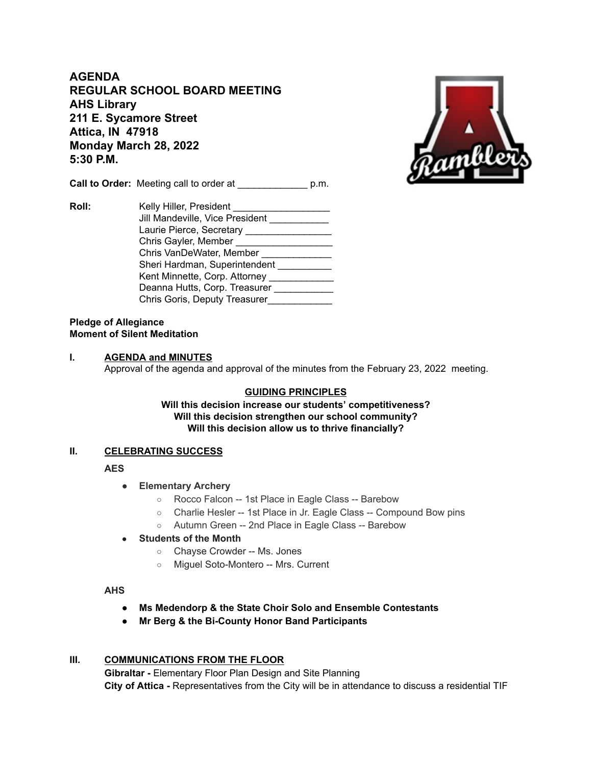**AGENDA REGULAR SCHOOL BOARD MEETING AHS Library 211 E. Sycamore Street Attica, IN 47918 Monday March 28, 2022 5:30 P.M.**

**Call to Order:** Meeting call to order at  $p.m.$ 



## **Pledge of Allegiance Moment of Silent Meditation**

### **I. AGENDA and MINUTES**

Approval of the agenda and approval of the minutes from the February 23, 2022 meeting.

# **GUIDING PRINCIPLES**

**Will this decision increase our students' competitiveness? Will this decision strengthen our school community? Will this decision allow us to thrive financially?**

# **II. CELEBRATING SUCCESS**

**AES**

- **● Elementary Archery**
	- Rocco Falcon -- 1st Place in Eagle Class -- Barebow
	- Charlie Hesler -- 1st Place in Jr. Eagle Class -- Compound Bow pins
	- Autumn Green -- 2nd Place in Eagle Class -- Barebow
- **Students of the Month**
	- Chayse Crowder -- Ms. Jones
	- Miguel Soto-Montero -- Mrs. Current

### **AHS**

- **Ms Medendorp & the State Choir Solo and Ensemble Contestants**
- **● Mr Berg & the Bi-County Honor Band Participants**

#### **III. COMMUNICATIONS FROM THE FLOOR**

**Gibraltar -** Elementary Floor Plan Design and Site Planning **City of Attica -** Representatives from the City will be in attendance to discuss a residential TIF

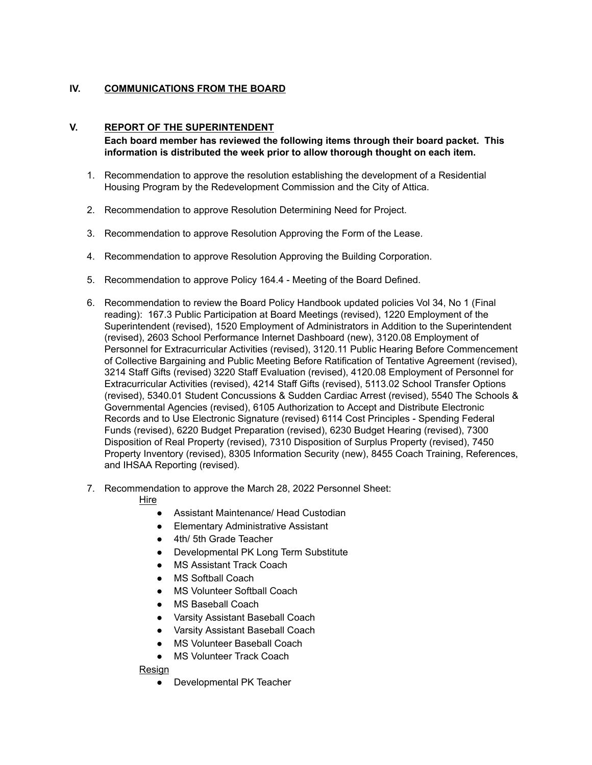# **IV. COMMUNICATIONS FROM THE BOARD**

## **V. REPORT OF THE SUPERINTENDENT**

**Each board member has reviewed the following items through their board packet. This information is distributed the week prior to allow thorough thought on each item.**

- 1. Recommendation to approve the resolution establishing the development of a Residential Housing Program by the Redevelopment Commission and the City of Attica.
- 2. Recommendation to approve Resolution Determining Need for Project.
- 3. Recommendation to approve Resolution Approving the Form of the Lease.
- 4. Recommendation to approve Resolution Approving the Building Corporation.
- 5. Recommendation to approve Policy 164.4 Meeting of the Board Defined.
- 6. Recommendation to review the Board Policy Handbook updated policies Vol 34, No 1 (Final reading): 167.3 Public Participation at Board Meetings (revised), 1220 Employment of the Superintendent (revised), 1520 Employment of Administrators in Addition to the Superintendent (revised), 2603 School Performance Internet Dashboard (new), 3120.08 Employment of Personnel for Extracurricular Activities (revised), 3120.11 Public Hearing Before Commencement of Collective Bargaining and Public Meeting Before Ratification of Tentative Agreement (revised), 3214 Staff Gifts (revised) 3220 Staff Evaluation (revised), 4120.08 Employment of Personnel for Extracurricular Activities (revised), 4214 Staff Gifts (revised), 5113.02 School Transfer Options (revised), 5340.01 Student Concussions & Sudden Cardiac Arrest (revised), 5540 The Schools & Governmental Agencies (revised), 6105 Authorization to Accept and Distribute Electronic Records and to Use Electronic Signature (revised) 6114 Cost Principles - Spending Federal Funds (revised), 6220 Budget Preparation (revised), 6230 Budget Hearing (revised), 7300 Disposition of Real Property (revised), 7310 Disposition of Surplus Property (revised), 7450 Property Inventory (revised), 8305 Information Security (new), 8455 Coach Training, References, and IHSAA Reporting (revised).
- 7. Recommendation to approve the March 28, 2022 Personnel Sheet:

Hire

- Assistant Maintenance/ Head Custodian
- Elementary Administrative Assistant
- 4th/ 5th Grade Teacher
- Developmental PK Long Term Substitute
- **MS Assistant Track Coach**
- MS Softball Coach
- MS Volunteer Softball Coach
- **MS Baseball Coach**
- Varsity Assistant Baseball Coach
- Varsity Assistant Baseball Coach
- MS Volunteer Baseball Coach
- MS Volunteer Track Coach

Resign

● Developmental PK Teacher